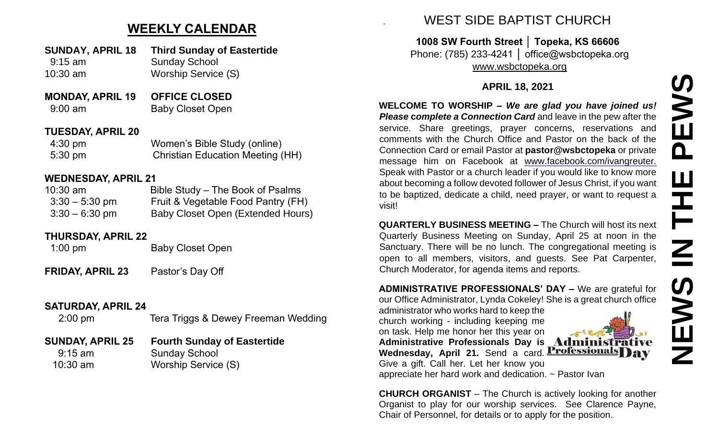# **WEEKLY CALENDAR**

- **SUNDAY, APRIL 18 Third Sunday of Eastertide** 9:15 am Sunday School
- 10:30 am Worship Service (S)
- **MONDAY, APRIL 19 OFFICE CLOSED** 9:00 am Baby Closet Open

### **TUESDAY, APRIL 20**

| 4:30 pm           | Women's Bible Study (online)            |
|-------------------|-----------------------------------------|
| $5:30 \text{ pm}$ | <b>Christian Education Meeting (HH)</b> |

## **WEDNESDAY, APRIL 21**

| $10:30$ am       | Bible Study – The Book of Psalms   |
|------------------|------------------------------------|
| $3:30 - 5:30$ pm | Fruit & Vegetable Food Pantry (FH) |
| $3:30 - 6:30$ pm | Baby Closet Open (Extended Hours)  |

## **THURSDAY, APRIL 22**

1:00 pm Baby Closet Open

**FRIDAY, APRIL 23** Pastor's Day Off

## **SATURDAY, APRIL 24**

2:00 pm Tera Triggs & Dewey Freeman Wedding

### **SUNDAY, APRIL 25 Fourth Sunday of Eastertide** 9:15 am Sunday School

10:30 am Worship Service (S)

# . WEST SIDE BAPTIST CHURCH

**1008 SW Fourth Street │ Topeka, KS 66606** Phone: (785) 233-4241 │ office@wsbctopeka.org [www.wsbctopeka.org](http://www.wsbctopeka.org/)

# **APRIL 18, 2021**

**WELCOME TO WORSHIP –** *We are glad you have joined us! Please* **c***omplete a Connection Card* and leave in the pew after the service. Share greetings, prayer concerns, reservations and comments with the Church Office and Pastor on the back of the Connection Card or email Pastor at **pastor@wsbctopeka** or private message him on Facebook at [www.facebook.com/ivangreuter.](https://www.facebook.com/ivangreuter.) Speak with Pastor or a church leader if you would like to know more about becoming a follow devoted follower of Jesus Christ, if you want to be baptized, dedicate a child, need prayer, or want to request a visit!

**QUARTERLY BUSINESS MEETING –** The Church will host its next Quarterly Business Meeting on Sunday, April 25 at noon in the Sanctuary. There will be no lunch. The congregational meeting is open to all members, visitors, and guests. See Pat Carpenter, Church Moderator, for agenda items and reports.

**ADMINISTRATIVE PROFESSIONALS' DAY –** We are grateful for our Office Administrator, Lynda Cokeley! She is a great church office

administrator who works hard to keep the church working - including keeping me on task. Help me honor her this year on **Administrative Professionals Day is** 

**Wednesday, April 21.** Send a card. **Professionals** av

Give a gift. Call her. Let her know you appreciate her hard work and dedication. ~ Pastor Ivan

**CHURCH ORGANIST** – The Church is actively looking for another Organist to play for our worship services. See Clarence Payne, Chair of Personnel, for details or to apply for the position.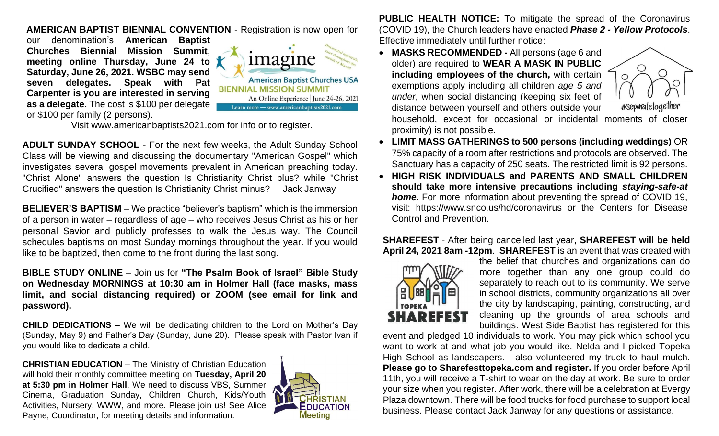### **AMERICAN BAPTIST BIENNIAL CONVENTION** - Registration is now open for

our denomination's **American Baptist Churches Biennial Mission Summit**, **meeting online Thursday, June 24 to Saturday, June 26, 2021. WSBC may send seven delegates. Speak with Pat Carpenter is you are interested in serving as a delegate.** The cost is \$100 per delegate or \$100 per family (2 persons).



Visit [www.americanbaptists2021.com](http://www.americanbaptists2021.com/) for info or to register.

**ADULT SUNDAY SCHOOL** - For the next few weeks, the Adult Sunday School Class will be viewing and discussing the documentary "American Gospel" which investigates several gospel movements prevalent in American preaching today. "Christ Alone" answers the question Is Christianity Christ plus? while "Christ Crucified" answers the question Is Christianity Christ minus? Jack Janway

**BELIEVER'S BAPTISM** – We practice "believer's baptism" which is the immersion of a person in water – regardless of age – who receives Jesus Christ as his or her personal Savior and publicly professes to walk the Jesus way. The Council schedules baptisms on most Sunday mornings throughout the year. If you would like to be baptized, then come to the front during the last song.

**BIBLE STUDY ONLINE** – Join us for **"The Psalm Book of Israel" Bible Study on Wednesday MORNINGS at 10:30 am in Holmer Hall (face masks, mass limit, and social distancing required) or ZOOM (see email for link and password).** 

**CHILD DEDICATIONS –** We will be dedicating children to the Lord on Mother's Day (Sunday, May 9) and Father's Day (Sunday, June 20). Please speak with Pastor Ivan if you would like to dedicate a child.

**CHRISTIAN EDUCATION** – The Ministry of Christian Education will hold their monthly committee meeting on **Tuesday, April 20 at 5:30 pm in Holmer Hall**. We need to discuss VBS, Summer Cinema, Graduation Sunday, Children Church, Kids/Youth Activities, Nursery, WWW, and more. Please join us! See Alice Payne, Coordinator, for meeting details and information.



**PUBLIC HEALTH NOTICE:** To mitigate the spread of the Coronavirus (COVID 19), the Church leaders have enacted *Phase 2 - Yellow Protocols*. Effective immediately until further notice:

• **MASKS RECOMMENDED -** All persons (age 6 and older) are required to **WEAR A MASK IN PUBLIC including employees of the church,** with certain exemptions apply including all children *age 5 and under*, when social distancing (keeping six feet of distance between yourself and others outside your



#Separatetogether

household, except for occasional or incidental moments of closer proximity) is not possible.

- **LIMIT MASS GATHERINGS to 500 persons (including weddings)** OR 75% capacity of a room after restrictions and protocols are observed. The Sanctuary has a capacity of 250 seats. The restricted limit is 92 persons.
- **HIGH RISK INDIVIDUALS and PARENTS AND SMALL CHILDREN should take more intensive precautions including** *staying-safe-at home*. For more information about preventing the spread of COVID 19, visit: <https://www.snco.us/hd/coronavirus> or the Centers for Disease Control and Prevention.

#### **SHAREFEST** - After being cancelled last year, **SHAREFEST will be held April 24, 2021 8am -12pm**. **SHAREFEST** is an event that was created with



the belief that churches and organizations can do more together than any one group could do separately to reach out to its community. We serve in school districts, community organizations all over the city by landscaping, painting, constructing, and cleaning up the grounds of area schools and buildings. West Side Baptist has registered for this

event and pledged 10 individuals to work. You may pick which school you want to work at and what job you would like. Nelda and I picked Topeka High School as landscapers. I also volunteered my truck to haul mulch. **Please go to Sharefesttopeka.com and register.** If you order before April 11th, you will receive a T-shirt to wear on the day at work. Be sure to order your size when you register. After work, there will be a celebration at Evergy Plaza downtown. There will be food trucks for food purchase to support local business. Please contact Jack Janway for any questions or assistance.